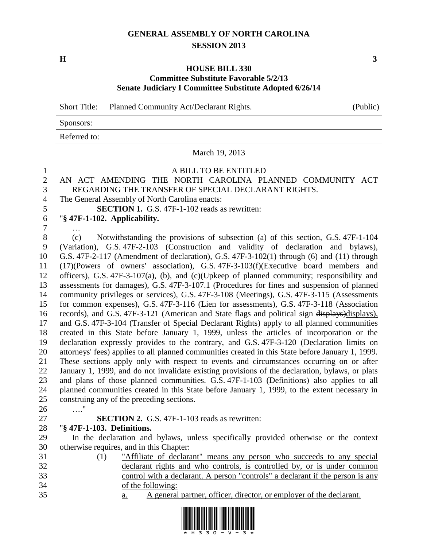## **GENERAL ASSEMBLY OF NORTH CAROLINA SESSION 2013**

**H 3**

## **HOUSE BILL 330 Committee Substitute Favorable 5/2/13 Senate Judiciary I Committee Substitute Adopted 6/26/14**

March 19, 2013

Short Title: Planned Community Act/Declarant Rights. (Public)

Sponsors:

Referred to:

 A BILL TO BE ENTITLED AN ACT AMENDING THE NORTH CAROLINA PLANNED COMMUNITY ACT REGARDING THE TRANSFER OF SPECIAL DECLARANT RIGHTS. The General Assembly of North Carolina enacts: **SECTION 1.** G.S. 47F-1-102 reads as rewritten: "**§ 47F-1-102. Applicability.** … (c) Notwithstanding the provisions of subsection (a) of this section, G.S. 47F-1-104 (Variation), G.S. 47F-2-103 (Construction and validity of declaration and bylaws), G.S. 47F-2-117 (Amendment of declaration), G.S. 47F-3-102(1) through (6) and (11) through (17)(Powers of owners' association), G.S. 47F-3-103(f)(Executive board members and officers), G.S. 47F-3-107(a), (b), and (c)(Upkeep of planned community; responsibility and assessments for damages), G.S. 47F-3-107.1 (Procedures for fines and suspension of planned community privileges or services), G.S. 47F-3-108 (Meetings), G.S. 47F-3-115 (Assessments for common expenses), G.S. 47F-3-116 (Lien for assessments), G.S. 47F-3-118 (Association records), and G.S. 47F-3-121 (American and State flags and political sign displays)displays), and G.S. 47F-3-104 (Transfer of Special Declarant Rights) apply to all planned communities created in this State before January 1, 1999, unless the articles of incorporation or the declaration expressly provides to the contrary, and G.S. 47F-3-120 (Declaration limits on attorneys' fees) applies to all planned communities created in this State before January 1, 1999. These sections apply only with respect to events and circumstances occurring on or after January 1, 1999, and do not invalidate existing provisions of the declaration, bylaws, or plats and plans of those planned communities. G.S. 47F-1-103 (Definitions) also applies to all planned communities created in this State before January 1, 1999, to the extent necessary in construing any of the preceding sections. …." **SECTION 2.** G.S. 47F-1-103 reads as rewritten: "**§ 47F-1-103. Definitions.** In the declaration and bylaws, unless specifically provided otherwise or the context otherwise requires, and in this Chapter: (1) "Affiliate of declarant" means any person who succeeds to any special declarant rights and who controls, is controlled by, or is under common control with a declarant. A person "controls" a declarant if the person is any of the following: a. A general partner, officer, director, or employer of the declarant.

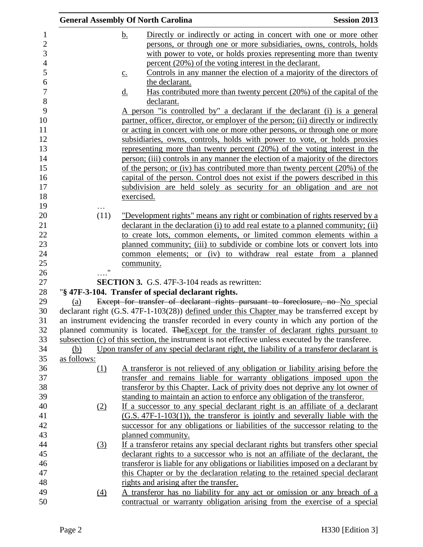|                                                 |                                                                                                                                                                                                                                                                                                                                                                                                  | <b>General Assembly Of North Carolina</b>                                                                                                                                                                                                                                                                                                                                                                                                                                                                                                                                              | <b>Session 2013</b> |  |  |
|-------------------------------------------------|--------------------------------------------------------------------------------------------------------------------------------------------------------------------------------------------------------------------------------------------------------------------------------------------------------------------------------------------------------------------------------------------------|----------------------------------------------------------------------------------------------------------------------------------------------------------------------------------------------------------------------------------------------------------------------------------------------------------------------------------------------------------------------------------------------------------------------------------------------------------------------------------------------------------------------------------------------------------------------------------------|---------------------|--|--|
| $\overline{c}$<br>3<br>$\overline{4}$<br>6<br>8 |                                                                                                                                                                                                                                                                                                                                                                                                  | Directly or indirectly or acting in concert with one or more other<br><u>b.</u><br>persons, or through one or more subsidiaries, owns, controls, holds<br>with power to vote, or holds proxies representing more than twenty<br>percent (20%) of the voting interest in the declarant.<br>Controls in any manner the election of a majority of the directors of<br>$\underline{c}$ .<br>the declarant.<br>Has contributed more than twenty percent (20%) of the capital of the<br><u>d.</u><br>declarant.<br>A person "is controlled by" a declarant if the declarant (i) is a general |                     |  |  |
| 10<br>12                                        |                                                                                                                                                                                                                                                                                                                                                                                                  | partner, officer, director, or employer of the person; (ii) directly or indirectly<br>or acting in concert with one or more other persons, or through one or more                                                                                                                                                                                                                                                                                                                                                                                                                      |                     |  |  |
|                                                 |                                                                                                                                                                                                                                                                                                                                                                                                  | subsidiaries, owns, controls, holds with power to vote, or holds proxies<br>representing more than twenty percent (20%) of the voting interest in the<br>person; (iii) controls in any manner the election of a majority of the directors<br>of the person; or (iv) has contributed more than twenty percent $(20\%)$ of the<br>capital of the person. Control does not exist if the powers described in this<br>subdivision are held solely as security for an obligation and are not<br>exercised.                                                                                   |                     |  |  |
|                                                 | (11)                                                                                                                                                                                                                                                                                                                                                                                             | "Development rights" means any right or combination of rights reserved by a                                                                                                                                                                                                                                                                                                                                                                                                                                                                                                            |                     |  |  |
|                                                 |                                                                                                                                                                                                                                                                                                                                                                                                  | declarant in the declaration (i) to add real estate to a planned community; (ii)<br>to create lots, common elements, or limited common elements within a<br>planned community; (iii) to subdivide or combine lots or convert lots into<br>common elements; or (iv) to withdraw real estate from a planned<br>community.                                                                                                                                                                                                                                                                |                     |  |  |
|                                                 | 11                                                                                                                                                                                                                                                                                                                                                                                               |                                                                                                                                                                                                                                                                                                                                                                                                                                                                                                                                                                                        |                     |  |  |
|                                                 |                                                                                                                                                                                                                                                                                                                                                                                                  | <b>SECTION 3.</b> G.S. 47F-3-104 reads as rewritten:                                                                                                                                                                                                                                                                                                                                                                                                                                                                                                                                   |                     |  |  |
|                                                 | "§ 47F-3-104. Transfer of special declarant rights.<br>Except for transfer of declarant rights pursuant to foreclosure, no No special<br>(a)<br>declarant right (G.S. 47F-1-103(28)) defined under this Chapter may be transferred except by                                                                                                                                                     |                                                                                                                                                                                                                                                                                                                                                                                                                                                                                                                                                                                        |                     |  |  |
|                                                 | an instrument evidencing the transfer recorded in every county in which any portion of the<br>planned community is located. The Except for the transfer of declarant rights pursuant to<br>subsection (c) of this section, the instrument is not effective unless executed by the transferee.<br>Upon transfer of any special declarant right, the liability of a transferor declarant is<br>(b) |                                                                                                                                                                                                                                                                                                                                                                                                                                                                                                                                                                                        |                     |  |  |
|                                                 | as follows:<br>(1)                                                                                                                                                                                                                                                                                                                                                                               | A transferor is not relieved of any obligation or liability arising before the<br>transfer and remains liable for warranty obligations imposed upon the<br>transferor by this Chapter. Lack of privity does not deprive any lot owner of                                                                                                                                                                                                                                                                                                                                               |                     |  |  |
|                                                 | (2)                                                                                                                                                                                                                                                                                                                                                                                              | standing to maintain an action to enforce any obligation of the transferor.<br>If a successor to any special declarant right is an affiliate of a declarant<br>$(G.S. 47F-1-103(1))$ , the transferor is jointly and severally liable with the<br>successor for any obligations or liabilities of the successor relating to the                                                                                                                                                                                                                                                        |                     |  |  |
|                                                 | $\left(3\right)$                                                                                                                                                                                                                                                                                                                                                                                 | planned community.<br>If a transferor retains any special declarant rights but transfers other special<br>declarant rights to a successor who is not an affiliate of the declarant, the                                                                                                                                                                                                                                                                                                                                                                                                |                     |  |  |
|                                                 |                                                                                                                                                                                                                                                                                                                                                                                                  | transferor is liable for any obligations or liabilities imposed on a declarant by<br>this Chapter or by the declaration relating to the retained special declarant<br>rights and arising after the transfer.                                                                                                                                                                                                                                                                                                                                                                           |                     |  |  |
|                                                 | $\left(4\right)$                                                                                                                                                                                                                                                                                                                                                                                 | A transferor has no liability for any act or omission or any breach of a<br>contractual or warranty obligation arising from the exercise of a special                                                                                                                                                                                                                                                                                                                                                                                                                                  |                     |  |  |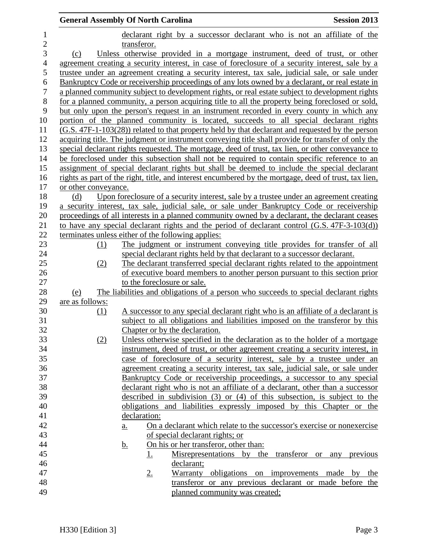|                  | <b>Session 2013</b><br><b>General Assembly Of North Carolina</b> |                                                                             |                                                                                                       |          |  |  |  |  |
|------------------|------------------------------------------------------------------|-----------------------------------------------------------------------------|-------------------------------------------------------------------------------------------------------|----------|--|--|--|--|
| $\mathbf{1}$     |                                                                  |                                                                             | declarant right by a successor declarant who is not an affiliate of the                               |          |  |  |  |  |
| $\overline{2}$   |                                                                  | transferor.                                                                 |                                                                                                       |          |  |  |  |  |
| 3                | (c)                                                              | Unless otherwise provided in a mortgage instrument, deed of trust, or other |                                                                                                       |          |  |  |  |  |
| 4                |                                                                  |                                                                             | agreement creating a security interest, in case of foreclosure of a security interest, sale by a      |          |  |  |  |  |
| 5                |                                                                  |                                                                             | trustee under an agreement creating a security interest, tax sale, judicial sale, or sale under       |          |  |  |  |  |
| 6                |                                                                  |                                                                             | Bankruptcy Code or receivership proceedings of any lots owned by a declarant, or real estate in       |          |  |  |  |  |
| $\boldsymbol{7}$ |                                                                  |                                                                             | a planned community subject to development rights, or real estate subject to development rights       |          |  |  |  |  |
| 8                |                                                                  |                                                                             | for a planned community, a person acquiring title to all the property being foreclosed or sold,       |          |  |  |  |  |
| 9                |                                                                  |                                                                             | but only upon the person's request in an instrument recorded in every county in which any             |          |  |  |  |  |
| 10               |                                                                  |                                                                             | portion of the planned community is located, succeeds to all special declarant rights                 |          |  |  |  |  |
| 11               |                                                                  |                                                                             | (G.S. 47F-1-103(28)) related to that property held by that declarant and requested by the person      |          |  |  |  |  |
| 12               |                                                                  |                                                                             | acquiring title. The judgment or instrument conveying title shall provide for transfer of only the    |          |  |  |  |  |
| 13               |                                                                  |                                                                             | special declarant rights requested. The mortgage, deed of trust, tax lien, or other conveyance to     |          |  |  |  |  |
| 14               |                                                                  |                                                                             | be foreclosed under this subsection shall not be required to contain specific reference to an         |          |  |  |  |  |
| 15               |                                                                  |                                                                             | assignment of special declarant rights but shall be deemed to include the special declarant           |          |  |  |  |  |
| 16               |                                                                  |                                                                             | rights as part of the right, title, and interest encumbered by the mortgage, deed of trust, tax lien, |          |  |  |  |  |
| 17               | or other conveyance.                                             |                                                                             |                                                                                                       |          |  |  |  |  |
| 18               | (d)                                                              |                                                                             | Upon foreclosure of a security interest, sale by a trustee under an agreement creating                |          |  |  |  |  |
| 19               |                                                                  |                                                                             | a security interest, tax sale, judicial sale, or sale under Bankruptcy Code or receivership           |          |  |  |  |  |
| 20               |                                                                  |                                                                             | proceedings of all interests in a planned community owned by a declarant, the declarant ceases        |          |  |  |  |  |
| 21               |                                                                  |                                                                             | to have any special declarant rights and the period of declarant control (G.S. 47F-3-103(d))          |          |  |  |  |  |
| 22               |                                                                  | terminates unless either of the following applies:                          |                                                                                                       |          |  |  |  |  |
| 23               | (1)                                                              |                                                                             | The judgment or instrument conveying title provides for transfer of all                               |          |  |  |  |  |
| 24               |                                                                  |                                                                             | special declarant rights held by that declarant to a successor declarant.                             |          |  |  |  |  |
| 25               | (2)                                                              |                                                                             | The declarant transferred special declarant rights related to the appointment                         |          |  |  |  |  |
| 26               |                                                                  |                                                                             | of executive board members to another person pursuant to this section prior                           |          |  |  |  |  |
| 27               |                                                                  | to the foreclosure or sale.                                                 |                                                                                                       |          |  |  |  |  |
| 28               | (e)                                                              |                                                                             | The liabilities and obligations of a person who succeeds to special declarant rights                  |          |  |  |  |  |
| 29               | are as follows:                                                  |                                                                             |                                                                                                       |          |  |  |  |  |
| 30               | (1)                                                              |                                                                             | A successor to any special declarant right who is an affiliate of a declarant is                      |          |  |  |  |  |
| 31               |                                                                  |                                                                             | subject to all obligations and liabilities imposed on the transferor by this                          |          |  |  |  |  |
| 32               |                                                                  |                                                                             | Chapter or by the declaration.                                                                        |          |  |  |  |  |
| 33               | (2)                                                              |                                                                             | Unless otherwise specified in the declaration as to the holder of a mortgage                          |          |  |  |  |  |
| 34               |                                                                  |                                                                             | instrument, deed of trust, or other agreement creating a security interest, in                        |          |  |  |  |  |
| 35               |                                                                  |                                                                             | case of foreclosure of a security interest, sale by a trustee under an                                |          |  |  |  |  |
| 36               |                                                                  |                                                                             | agreement creating a security interest, tax sale, judicial sale, or sale under                        |          |  |  |  |  |
| 37               |                                                                  |                                                                             | Bankruptcy Code or receivership proceedings, a successor to any special                               |          |  |  |  |  |
| 38               |                                                                  |                                                                             | declarant right who is not an affiliate of a declarant, other than a successor                        |          |  |  |  |  |
| 39               |                                                                  |                                                                             | described in subdivision (3) or (4) of this subsection, is subject to the                             |          |  |  |  |  |
| 40               |                                                                  |                                                                             | obligations and liabilities expressly imposed by this Chapter or the                                  |          |  |  |  |  |
| 41               |                                                                  |                                                                             |                                                                                                       |          |  |  |  |  |
|                  |                                                                  | declaration:                                                                |                                                                                                       |          |  |  |  |  |
| 42               |                                                                  | $\underline{\mathbf{a}}$ .                                                  | On a declarant which relate to the successor's exercise or nonexercise                                |          |  |  |  |  |
| 43               |                                                                  |                                                                             | of special declarant rights; or                                                                       |          |  |  |  |  |
| 44               |                                                                  | <u>b.</u>                                                                   | On his or her transferor, other than:                                                                 |          |  |  |  |  |
| 45               |                                                                  | 1.                                                                          | Misrepresentations by the transferor or any                                                           | previous |  |  |  |  |
| 46               |                                                                  |                                                                             | declarant;                                                                                            |          |  |  |  |  |
| 47               |                                                                  | 2.                                                                          | Warranty obligations on improvements made by the                                                      |          |  |  |  |  |
| 48               |                                                                  |                                                                             | transferor or any previous declarant or made before the                                               |          |  |  |  |  |
| 49               |                                                                  |                                                                             | planned community was created;                                                                        |          |  |  |  |  |